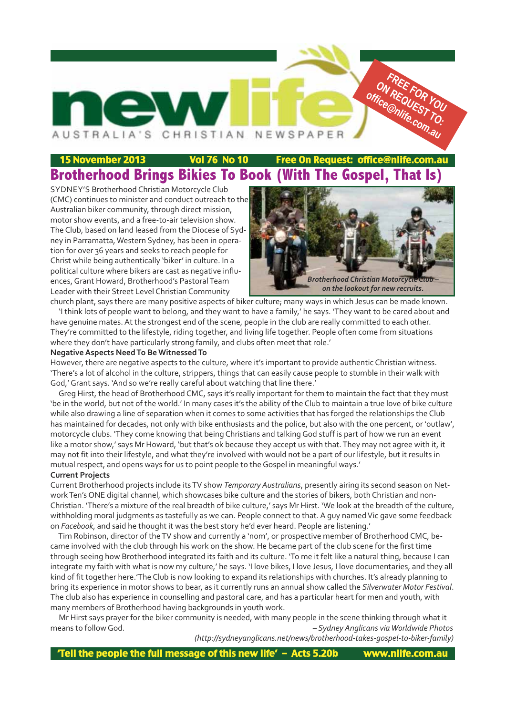

### 15 November 2013 Vol 76 No 10 Free On Request: office@nlife.com.au **Brotherhood Brings Bikies To Book (With The Gospel, That**

SYDNEY'S Brotherhood Christian Motorcycle Club (CMC) continues to minister and conduct outreach to the Australian biker community, through direct mission, motor show events, and a free-to-air television show. The Club, based on land leased from the Diocese of Sydney in Parramatta, Western Sydney, has been in operation for over 36 years and seeks to reach people for Christ while being authentically 'biker' in culture. In a political culture where bikers are cast as negative influences, Grant Howard, Brotherhood's Pastoral Team Leader with their Street Level Christian Community



church plant, says there are many positive aspects of biker culture; many ways in which Jesus can be made known. 'I think lots of people want to belong, and they want to have a family,' he says. 'They want to be cared about and have genuine mates. At the strongest end of the scene, people in the club are really committed to each other. They're committed to the lifestyle, riding together, and living life together. People often come from situations where they don't have particularly strong family, and clubs often meet that role.'

#### **Negative Aspects Need To Be Witnessed To**

However, there are negative aspects to the culture, where it's important to provide authentic Christian witness. 'There's a lot of alcohol in the culture, strippers, things that can easily cause people to stumble in their walk with God,' Grant says. 'And so we're really careful about watching that line there.'

Greg Hirst, the head of Brotherhood CMC, says it's really important for them to maintain the fact that they must 'be in the world, but not of the world.' In many cases it's the ability of the Club to maintain a true love of bike culture while also drawing a line of separation when it comes to some activities that has forged the relationships the Club has maintained for decades, not only with bike enthusiasts and the police, but also with the one percent, or 'outlaw', motorcycle clubs. 'They come knowing that being Christians and talking God stuff is part of how we run an event like a motor show,' says Mr Howard, 'but that's ok because they accept us with that. They may not agree with it, it may not fit into their lifestyle, and what they're involved with would not be a part of our lifestyle, but it results in mutual respect, and opens ways for us to point people to the Gospel in meaningful ways.'

#### **Current Projects**

Current Brotherhood projects include its TV show *Temporary Australians*, presently airing its second season on Network Ten's ONE digital channel, which showcases bike culture and the stories of bikers, both Christian and non-Christian. 'There's a mixture of the real breadth of bike culture,' says Mr Hirst. 'We look at the breadth of the culture, withholding moral judgments as tastefully as we can. People connect to that. A guy named Vic gave some feedback on *Facebook*, and said he thought it was the best story he'd ever heard. People are listening.'

Tim Robinson, director of the TV show and currently a 'nom', or prospective member of Brotherhood CMC, became involved with the club through his work on the show. He became part of the club scene for the first time through seeing how Brotherhood integrated its faith and its culture. 'To me it felt like a natural thing, because I can integrate my faith with what is now my culture,' he says. 'I love bikes, I love Jesus, I love documentaries, and they all kind of fit together here.'The Club is now looking to expand its relationships with churches. It's already planning to bring its experience in motor shows to bear, as it currently runs an annual show called the *Silverwater Motor Festival*. The club also has experience in counselling and pastoral care, and has a particular heart for men and youth, with many members of Brotherhood having backgrounds in youth work.

Mr Hirst says prayer for the biker community is needed, with many people in the scene thinking through what it<br>Sydney Analicans via Worldwide Photo - Sydney Analicans via Worldwide Photo means to follow God. *– Sydney Anglicans via Worldwide Photos*

*(http://sydneyanglicans.net/news/brotherhood-takes-gospel-to-biker-family)* 

'Tell the people the full message of this new life' – Acts 5.20b www.nlife.com.au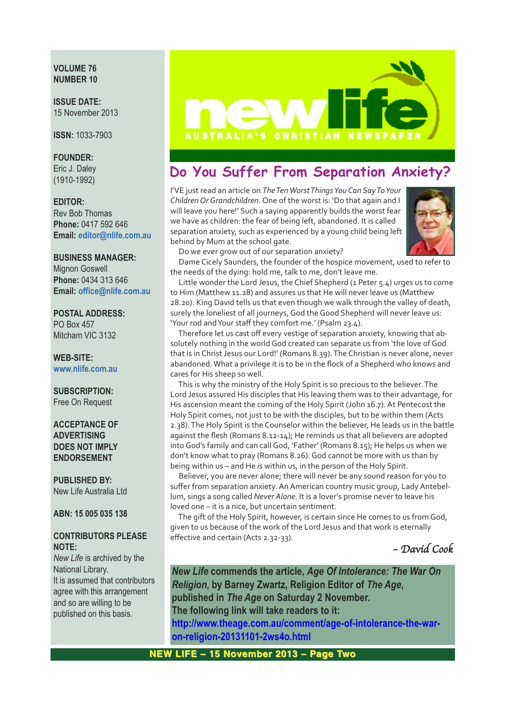#### **VOLUME 76 NUMBER 10**

**ISSUE DATE:** 15 November 2013

**ISSN:** 1033-7903

#### **FOUNDER:**

Eric J. Daley (1910-1992)

#### **EDITOR:**

Rev Bob Thomas **Phone:** 0417 592 646 **Email: editor@nlife.com.au**

#### **BUSINESS MANAGER:**

Mignon Goswell **Phone:** 0434 313 646 **Email: office@nlife.com.au**

#### **POSTAL ADDRESS:**

PO Box 457 Mitcham VIC 3132

**WEB-SITE: www.nlife.com.au**

#### **SUBSCRIPTION:** Free On Request

#### **ACCEPTANCE OF ADVERTISING DOES NOT IMPLY ENDORSEMENT**

**PUBLISHED BY:** New Life Australia Ltd

**ABN: 15 005 035 138**

#### **CONTRIBUTORS PLEASE NOTE:**

*New Life* is archived by the National Library. It is assumed that contributors agree with this arrangement and so are willing to be published on this basis.



### **Do You Suffer From Separation Anxiety?**

I'VE just read an article on *The Ten Worst Things You Can Say To Your Children Or Grandchildren*. One of the worst is: 'Do that again and I will leave you here!' Such a saying apparently builds the worst fear we have as children: the fear of being left, abandoned. It is called separation anxiety, such as experienced by a young child being left behind by Mum at the school gate.



Do we ever grow out of our separation anxiety?

Dame Cicely Saunders, the founder of the hospice movement, used to refer to the needs of the dying: hold me, talk to me, don't leave me.

Little wonder the Lord Jesus, the Chief Shepherd (1 Peter 5.4) urges us to come to Him (Matthew 11.28) and assures us that He will never leave us (Matthew 28.20). King David tells us that even though we walk through the valley of death, surely the loneliest of all journeys, God the Good Shepherd will never leave us: 'Your rod and Your staff they comfort me.' (Psalm 23.4).

Therefore let us cast off every vestige of separation anxiety, knowing that absolutely nothing in the world God created can separate us from 'the love of God that is in Christ Jesus our Lord!' (Romans 8.39). The Christian is never alone, never abandoned. What a privilege it is to be in the flock of a Shepherd who knows and cares for His sheep so well.

This is why the ministry of the Holy Spirit is so precious to the believer. The Lord Jesus assured His disciples that His leaving them was to their advantage, for His ascension meant the coming of the Holy Spirit (John 16.7). At Pentecost the Holy Spirit comes, not just to be with the disciples, but to be within them (Acts 2.38). The Holy Spirit is the Counselor within the believer, He leads us in the battle against the flesh (Romans 8.12-14); He reminds us that all believers are adopted into God's family and can call God, 'Father' (Romans 8.15); He helps us when we don't know what to pray (Romans 8.26). God cannot be more with us than by being within us – and He *is* within us, in the person of the Holy Spirit.

Believer, you are never alone; there will never be any sound reason for you to suffer from separation anxiety. An American country music group, Lady Antebellum, sings a song called *Never Alone*. It is a lover's promise never to leave his loved one – it is a nice, but uncertain sentiment.

The gift of the Holy Spirit, however, is certain since He comes to us from God, given to us because of the work of the Lord Jesus and that work is eternally effective and certain (Acts 2.32-33).

- David Cook

*New Life* **commends the article,** *Age Of Intolerance: The War On Religion***, by Barney Zwartz, Religion Editor of** *The Age***, published in** *The Age* **on Saturday 2 November. The following link will take readers to it: http://www.theage.com.au/comment/age-of-intolerance-the-waron-religion-20131101-2ws4o.html**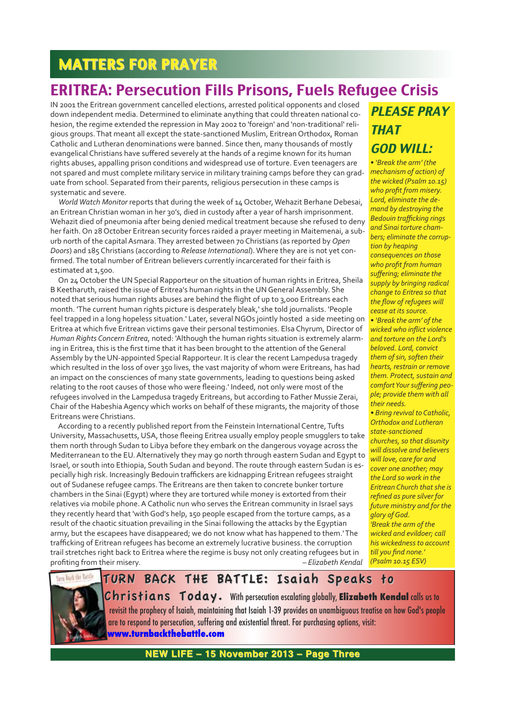### **MATTERS FOR PRAYER**

### ERITREA: Persecution Fills Prisons, Fuels Refugee Crisis

IN 2001 the Eritrean government cancelled elections, arrested political opponents and closed down independent media. Determined to eliminate anything that could threaten national cohesion, the regime extended the repression in May 2002 to 'foreign' and 'non-traditional' religious groups. That meant all except the state-sanctioned Muslim, Eritrean Orthodox, Roman Catholic and Lutheran denominations were banned. Since then, many thousands of mostly evangelical Christians have suffered severely at the hands of a regime known for its human rights abuses, appalling prison conditions and widespread use of torture. Even teenagers are not spared and must complete military service in military training camps before they can graduate from school. Separated from their parents, religious persecution in these camps is systematic and severe.

*World Watch Monitor* reports that during the week of 14 October, Wehazit Berhane Debesai, an Eritrean Christian woman in her 30's, died in custody after a year of harsh imprisonment. Wehazit died of pneumonia after being denied medical treatment because she refused to deny her faith. On 28 October Eritrean security forces raided a prayer meeting in Maitemenai, a suburb north of the capital Asmara. They arrested between 70 Christians (as reported by *Open Doors*) and 185 Christians (according to *Release International*). Where they are is not yet confirmed. The total number of Eritrean believers currently incarcerated for their faith is estimated at 1,500.

On 24 October the UN Special Rapporteur on the situation of human rights in Eritrea, Sheila B Keetharuth, raised the issue of Eritrea's human rights in the UN General Assembly. She noted that serious human rights abuses are behind the flight of up to 3,000 Eritreans each month. 'The current human rights picture is desperately bleak,' she told journalists. 'People feel trapped in a long hopeless situation.' Later, several NGOs jointly hosted a side meeting on Eritrea at which five Eritrean victims gave their personal testimonies. Elsa Chyrum, Director of *Human Rights Concern Eritrea*, noted: 'Although the human rights situation is extremely alarming in Eritrea, this is the first time that it has been brought to the attention of the General Assembly by the UN-appointed Special Rapporteur. It is clear the recent Lampedusa tragedy which resulted in the loss of over 350 lives, the vast majority of whom were Eritreans, has had an impact on the consciences of many state governments, leading to questions being asked relating to the root causes of those who were fleeing.' Indeed, not only were most of the refugees involved in the Lampedusa tragedy Eritreans, but according to Father Mussie Zerai, Chair of the Habeshia Agency which works on behalf of these migrants, the majority of those Eritreans were Christians.

According to a recently published report from the Feinstein International Centre, Tufts University, Massachusetts, USA, those fleeing Eritrea usually employ people smugglers to take them north through Sudan to Libya before they embark on the dangerous voyage across the Mediterranean to the EU. Alternatively they may go north through eastern Sudan and Egypt to Israel, or south into Ethiopia, South Sudan and beyond. The route through eastern Sudan is especially high risk. Increasingly Bedouin traffickers are kidnapping Eritrean refugees straight out of Sudanese refugee camps. The Eritreans are then taken to concrete bunker torture chambers in the Sinai (Egypt) where they are tortured while money is extorted from their relatives via mobile phone. A Catholic nun who serves the Eritrean community in Israel says they recently heard that 'with God's help, 150 people escaped from the torture camps, as a result of the chaotic situation prevailing in the Sinai following the attacks by the Egyptian army, but the escapees have disappeared; we do not know what has happened to them.' The trafficking of Eritrean refugees has become an extremely lucrative business. the corruption trail stretches right back to Eritrea where the regime is busy not only creating refugees but in profiting from their misery. *– Elizabeth Kendal*

### **PI FASE PRAY THAT** GOD WILL:

*• 'Break the arm' (the mechanism of action) of the wicked (Psalm 10.15) who profit from misery. Lord, eliminate the demand by destroying the Bedouin trafficking rings and Sinai torture chambers; eliminate the corruption by heaping consequences on those who profit from human suffering; eliminate the supply by bringing radical change to Eritrea so that the flow of refugees will cease at its source.*

*• 'Break the arm' of the wicked who inflict violence and torture on the Lord's beloved. Lord, convict them of sin, soften their hearts, restrain or remove them. Protect, sustain and comfort Your suffering people; provide them with all their needs.*

*• Bring revival to Catholic, Orthodox and Lutheran statesanctioned churches, so that disunity will dissolve and believers will love, care for and cover one another; may the Lord so work in the Eritrean Church that she is refined as pure silver for future ministry and for the glory of God. 'Break the arm of the wicked and evildoer; call his wickedness to account till you find none.' (Psalm 10.15 ESV)*



TURN BACK THE BATTLE: Isaiah Speaks to

Christians Today. Christians Today. With persecution escalating globally, **Elizabeth Kendal** calls us to revisit the prophecy of Isaiah, maintaining that Isaiah 1-39 provides an unambiguous treatise on how God's people are to respond to persecution, suffering and existential threat. For purchasing options, visit: **www.turnbackthebattle.com**

**NEW LIFE – 15 November 2013 – Page Three NEW LIFE – 15 November 2013 – Page Three**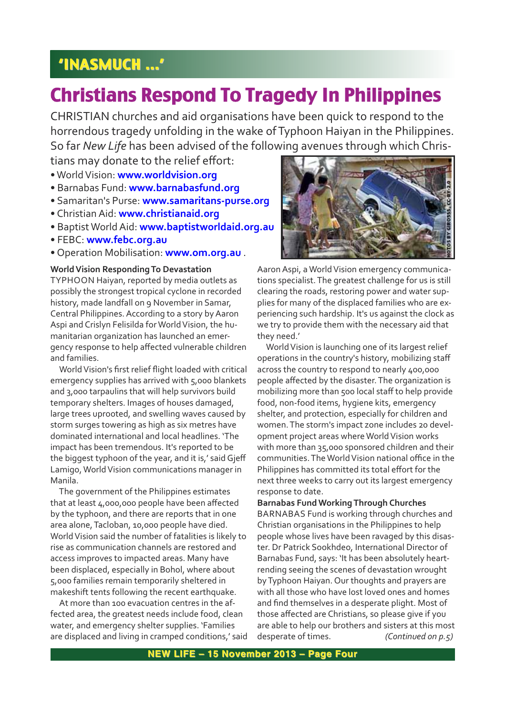### 'INASMUCH ...' 'INASMUCH ...'

## Christians Respond To Tragedy In Philippines

CHRISTIAN churches and aid organisations have been quick to respond to the horrendous tragedy unfolding in the wake of Typhoon Haiyan in the Philippines. So far *New Life* has been advised of the following avenues through which Chris-

tians may donate to the relief effort:

- World Vision: **www.worldvision.org**
- Barnabas Fund: **www.barnabasfund.org**
- **Samaritan's Purse: www.samaritans-purse.org**
- Christian Aid: **www.christianaid.org**
- Baptist World Aid: **www.baptistworldaid.org.au**
- FEBC: **www.febc.org.au**
- Operation Mobilisation: **www.om.org.au** .

#### **World Vision Responding To Devastation**

TYPHOON Haiyan, reported by media outlets as possibly the strongest tropical cyclone in recorded history, made landfall on 9 November in Samar, Central Philippines. According to a story by Aaron Aspi and Crislyn Felisilda for World Vision, the humanitarian organization has launched an emergency response to help affected vulnerable children and families.

World Vision's first relief flight loaded with critical emergency supplies has arrived with 5,000 blankets and 3,000 tarpaulins that will help survivors build temporary shelters. Images of houses damaged, large trees uprooted, and swelling waves caused by storm surges towering as high as six metres have dominated international and local headlines. 'The impact has been tremendous. It's reported to be the biggest typhoon of the year, and it is,' said Gjeff Lamigo, World Vision communications manager in Manila.

The government of the Philippines estimates that at least 4,000,000 people have been affected by the typhoon, and there are reports that in one area alone, Tacloban, 10,000 people have died. World Vision said the number of fatalities is likely to rise as communication channels are restored and access improves to impacted areas. Many have been displaced, especially in Bohol, where about 5,000 families remain temporarily sheltered in makeshift tents following the recent earthquake.

At more than 100 evacuation centres in the affected area, the greatest needs include food, clean water, and emergency shelter supplies. 'Families are displaced and living in cramped conditions,' said



Aaron Aspi, a World Vision emergency communications specialist. The greatest challenge for us is still clearing the roads, restoring power and water supplies for many of the displaced families who are experiencing such hardship. It's us against the clock as we try to provide them with the necessary aid that they need.'

World Vision is launching one of its largest relief operations in the country's history, mobilizing staff across the country to respond to nearly 400,000 people affected by the disaster. The organization is mobilizing more than 500 local staff to help provide food, non-food items, hygiene kits, emergency shelter, and protection, especially for children and women. The storm's impact zone includes 20 development project areas where World Vision works with more than 35,000 sponsored children and their communities. The World Vision national office in the Philippines has committed its total effort for the next three weeks to carry out its largest emergency response to date.

**Barnabas Fund Working Through Churches** BARNABAS Fund is working through churches and Christian organisations in the Philippines to help people whose lives have been ravaged by this disaster. Dr Patrick Sookhdeo, International Director of Barnabas Fund, says: 'It has been absolutely heartrending seeing the scenes of devastation wrought by Typhoon Haiyan. Our thoughts and prayers are with all those who have lost loved ones and homes and find themselves in a desperate plight. Most of those affected are Christians, so please give if you are able to help our brothers and sisters at this most desperate of times. *(Continued on p.5)*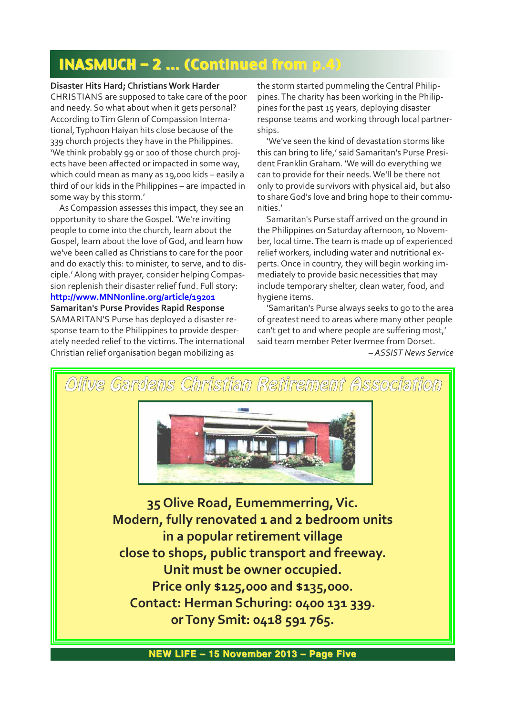### INASMUCH – 2 ... (Continued from  $p.4$ )

#### **Disaster Hits Hard; Christians Work Harder**

CHRISTIANS are supposed to take care of the poor and needy. So what about when it gets personal? According to Tim Glenn of Compassion International, Typhoon Haiyan hits close because of the 339 church projects they have in the Philippines. 'We think probably 99 or 100 of those church projects have been affected or impacted in some way, which could mean as many as 19,000 kids – easily a third of our kids in the Philippines – are impacted in some way by this storm.'

As Compassion assesses this impact, they see an opportunity to share the Gospel. 'We're inviting people to come into the church, learn about the Gospel, learn about the love of God, and learn how we've been called as Christians to care for the poor and do exactly this: to minister, to serve, and to disciple.' Along with prayer, consider helping Compassion replenish their disaster relief fund. Full story: **http://www.MNNonline.org/article/19201 Samaritan's Purse Provides Rapid Response** SAMARITAN'S Purse has deployed a disaster re-

sponse team to the Philippines to provide desperately needed relief to the victims. The international Christian relief organisation began mobilizing as

the storm started pummeling the Central Philippines. The charity has been working in the Philippines for the past 15 years, deploying disaster response teams and working through local partnerships.

'We've seen the kind of devastation storms like this can bring to life,' said Samaritan's Purse President Franklin Graham. 'We will do everything we can to provide for their needs. We'll be there not only to provide survivors with physical aid, but also to share God's love and bring hope to their communities.'

Samaritan's Purse staff arrived on the ground in the Philippines on Saturday afternoon, 10 November, local time. The team is made up of experienced relief workers, including water and nutritional experts. Once in country, they will begin working immediately to provide basic necessities that may include temporary shelter, clean water, food, and hygiene items.

'Samaritan's Purse always seeks to go to the area of greatest need to areas where many other people can't get to and where people are suffering most,' said team member Peter Ivermee from Dorset. *– ASSIST News Service*



**NEW LIFE – 15 November 2013 – Page Five NEW LIFE – 15 November 2013 – Page Five**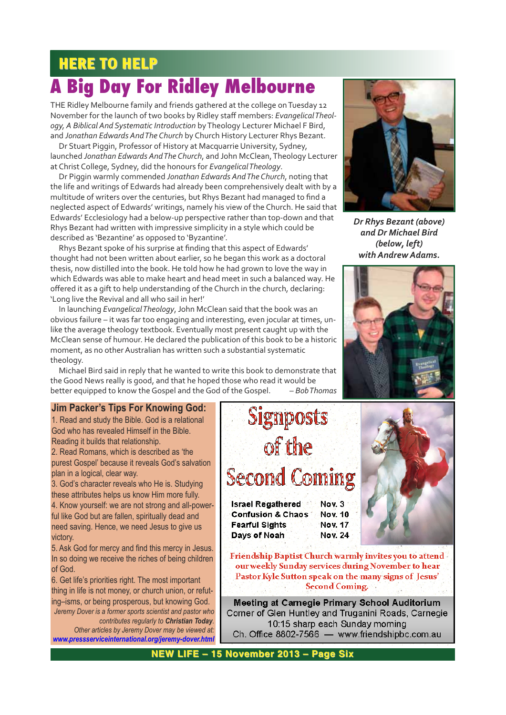## **HERE TO HELP**

## **A Big Day For Ridley Melbourne**

THE Ridley Melbourne family and friends gathered at the college on Tuesday 12 November for the launch of two books by Ridley staff members: *Evangelical Theology, A Biblical And Systematic Introduction* by Theology Lecturer Michael F Bird, and *Jonathan Edwards And The Church* by Church History Lecturer Rhys Bezant.

Dr Stuart Piggin, Professor of History at Macquarrie University, Sydney, launched *Jonathan Edwards And The Church*, and John McClean, Theology Lecturer at Christ College, Sydney, did the honours for *Evangelical Theology*.

Dr Piggin warmly commended *Jonathan Edwards And The Church*, noting that the life and writings of Edwards had already been comprehensively dealt with by a multitude of writers over the centuries, but Rhys Bezant had managed to find a neglected aspect of Edwards' writings, namely his view of the Church. He said that Edwards' Ecclesiology had a below-up perspective rather than top-down and that Rhys Bezant had written with impressive simplicity in a style which could be described as 'Bezantine' as opposed to 'Byzantine'.

Rhys Bezant spoke of his surprise at finding that this aspect of Edwards' thought had not been written about earlier, so he began this work as a doctoral thesis, now distilled into the book. He told how he had grown to love the way in which Edwards was able to make heart and head meet in such a balanced way. He offered it as a gift to help understanding of the Church in the church, declaring: 'Long live the Revival and all who sail in her!'

In launching *Evangelical Theology*, John McClean said that the book was an obvious failure – it was far too engaging and interesting, even jocular at times, unlike the average theology textbook. Eventually most present caught up with the McClean sense of humour. He declared the publication of this book to be a historic moment, as no other Australian has written such a substantial systematic theology.

Michael Bird said in reply that he wanted to write this book to demonstrate that the Good News really is good, and that he hoped those who read it would be better equipped to know the Gospel and the God of the Gospel. *– Bob Thomas*

### **Jim Packer's Tips For Knowing God:**

1. Read and study the Bible. God is a relational God who has revealed Himself in the Bible. Reading it builds that relationship.

2. Read Romans, which is described as 'the purest Gospel' because it reveals God's salvation plan in a logical, clear way.

3. God's character reveals who He is. Studying these attributes helps us know Him more fully. 4. Know yourself: we are not strong and all-powerful like God but are fallen, spiritually dead and need saving. Hence, we need Jesus to give us victory.

5. Ask God for mercy and find this mercy in Jesus. In so doing we receive the riches of being children of God.

6. Get life's priorities right. The most important thing in life is not money, or church union, or refuting–isms, or being prosperous, but knowing God. *Jeremy Dover is a former sports scientist and pastor who contributes regularly to Christian Today. Other articles by Jeremy Dover may be viewed at: www.pressserviceinternational.org/jeremy-dover.html*



*Dr Rhys Bezant (above) and Dr Michael Bird (below, left) with Andrew Adams.*



# **Signposts** of the **Second Coming**

**Israel Regathered Confusion & Chaos Fearful Sights** Days of Noah

**Nov. 3 Nov. 10 Nov. 17 Nov. 24** 



Friendship Baptist Church warmly invites you to attend our weekly Sunday services during November to hear Pastor Kyle Sutton speak on the many signs of Jesus' **Second Coming.** 

Meeting at Carnegie Primary School Auditorium Corner of Glen Huntley and Truganini Roads, Carnegie 10:15 sharp each Sunday morning Ch. Office 8802-7566 - www.friendshipbc.com.au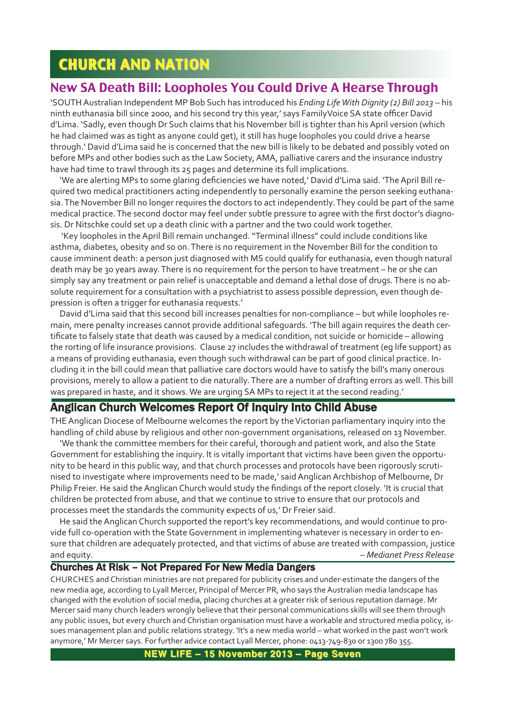### **CHURCH AND NATION**

### New SA Death Bill: Loopholes You Could Drive A Hearse Through

'SOUTH Australian Independent MP Bob Such has introduced his *Ending Life With Dignity (2) Bill 2013* – his ninth euthanasia bill since 2000, and his second try this year,' says FamilyVoice SA state officer David d'Lima. 'Sadly, even though Dr Such claims that his November bill is tighter than his April version (which he had claimed was as tight as anyone could get), it still has huge loopholes you could drive a hearse through.' David d'Lima said he is concerned that the new bill is likely to be debated and possibly voted on before MPs and other bodies such as the Law Society, AMA, palliative carers and the insurance industry have had time to trawl through its 25 pages and determine its full implications.

'We are alerting MPs to some glaring deficiencies we have noted,' David d'Lima said. 'The April Bill required two medical practitioners acting independently to personally examine the person seeking euthanasia. The November Bill no longer requires the doctors to act independently. They could be part of the same medical practice. The second doctor may feel under subtle pressure to agree with the first doctor's diagnosis. Dr Nitschke could set up a death clinic with a partner and the two could work together.

'Key loopholes in the April Bill remain unchanged. "Terminal illness" could include conditions like asthma, diabetes, obesity and so on. There is no requirement in the November Bill for the condition to cause imminent death: a person just diagnosed with MS could qualify for euthanasia, even though natural death may be 30 years away. There is no requirement for the person to have treatment – he or she can simply say any treatment or pain relief is unacceptable and demand a lethal dose of drugs. There is no absolute requirement for a consultation with a psychiatrist to assess possible depression, even though depression is often a trigger for euthanasia requests.'

David d'Lima said that this second bill increases penalties for non-compliance – but while loopholes remain, mere penalty increases cannot provide additional safeguards. 'The bill again requires the death certificate to falsely state that death was caused by a medical condition, not suicide or homicide – allowing the rorting of life insurance provisions. Clause 27 includes the withdrawal of treatment (eg life support) as a means of providing euthanasia, even though such withdrawal can be part of good clinical practice. Including it in the bill could mean that palliative care doctors would have to satisfy the bill's many onerous provisions, merely to allow a patient to die naturally. There are a number of drafting errors as well. This bill was prepared in haste, and it shows. We are urging SA MPs to reject it at the second reading.'

### Anglican Church Welcomes Report Of Inquiry Into Child Abuse

THE Anglican Diocese of Melbourne welcomes the report by the Victorian parliamentary inquiry into the handling of child abuse by religious and other non-government organisations, released on 13 November.

'We thank the committee members for their careful, thorough and patient work, and also the State Government for establishing the inquiry. It is vitally important that victims have been given the opportunity to be heard in this public way, and that church processes and protocols have been rigorously scrutinised to investigate where improvements need to be made,' said Anglican Archbishop of Melbourne, Dr Philip Freier. He said the Anglican Church would study the findings of the report closely. 'It is crucial that children be protected from abuse, and that we continue to strive to ensure that our protocols and processes meet the standards the community expects of us,' Dr Freier said.

He said the Anglican Church supported the report's key recommendations, and would continue to provide full co-operation with the State Government in implementing whatever is necessary in order to ensure that children are adequately protected, and that victims of abuse are treated with compassion, justice and equity. *– Medianet Press Release*

#### Churches At Risk – Not Prepared For New Media Dangers

CHURCHES and Christian ministries are not prepared for publicity crises and underestimate the dangers of the new media age, according to Lyall Mercer, Principal of Mercer PR, who says the Australian media landscape has changed with the evolution of social media, placing churches at a greater risk of serious reputation damage. Mr Mercer said many church leaders wrongly believe that their personal communications skills will see them through any public issues, but every church and Christian organisation must have a workable and structured media policy, issues management plan and public relations strategy. 'It's a new media world – what worked in the past won't work anymore,' Mr Mercer says. For further advice contact Lyall Mercer, phone: 0413-749-830 or 1300 780 355.

**NEW LIFE – 15 November 2013 – Page Seven**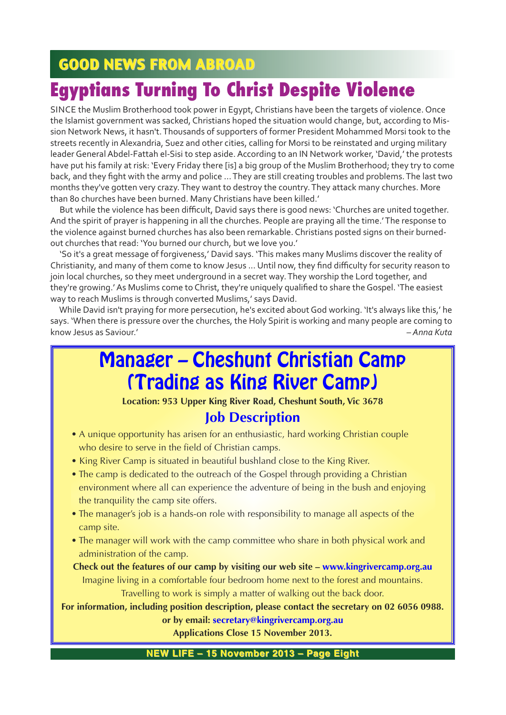### GOOD NEWS FROM ABROAD GOOD NEWS FROM ABROAD

## **Egyptians Turning To Christ Despite Violence**

SINCE the Muslim Brotherhood took power in Egypt, Christians have been the targets of violence. Once the Islamist government was sacked, Christians hoped the situation would change, but, according to Mission Network News, it hasn't. Thousands of supporters of former President Mohammed Morsi took to the streets recently in Alexandria, Suez and other cities, calling for Morsi to be reinstated and urging military leader General Abdel-Fattah el-Sisi to step aside. According to an IN Network worker, 'David,' the protests have put his family at risk: 'Every Friday there [is] a big group of the Muslim Brotherhood; they try to come back, and they fight with the army and police ... They are still creating troubles and problems. The last two months they've gotten very crazy. They want to destroy the country. They attack many churches. More than 80 churches have been burned. Many Christians have been killed.'

But while the violence has been difficult, David says there is good news: 'Churches are united together. And the spirit of prayer is happening in all the churches. People are praying all the time.' The response to the violence against burned churches has also been remarkable. Christians posted signs on their burnedout churches that read: 'You burned our church, but we love you.'

'So it's a great message of forgiveness,' David says. 'This makes many Muslims discover the reality of Christianity, and many of them come to know Jesus ... Until now, they find difficulty for security reason to join local churches, so they meet underground in a secret way. They worship the Lord together, and they're growing.' As Muslims come to Christ, they're uniquely qualified to share the Gospel. 'The easiest way to reach Muslims is through converted Muslims,' says David.

While David isn't praying for more persecution, he's excited about God working. 'It's always like this,' he says. 'When there is pressure over the churches, the Holy Spirit is working and many people are coming to know Jesus as Saviour.' *– Anna Kuta*

## Manager – Cheshunt Christian Camp (Trading as King River Camp)

### **Location: 953 Upper King River Road, Cheshunt South, Vic 3678**

### **Job Description**

- A unique opportunity has arisen for an enthusiastic, hard working Christian couple who desire to serve in the field of Christian camps.
- King River Camp is situated in beautiful bushland close to the King River.
- The camp is dedicated to the outreach of the Gospel through providing a Christian environment where all can experience the adventure of being in the bush and enjoying the tranquility the camp site offers.
- The manager's job is a hands-on role with responsibility to manage all aspects of the camp site.
- The manager will work with the camp committee who share in both physical work and administration of the camp.
- **Check out the features of our camp by visiting our web site www.kingrivercamp.org.au** Imagine living in a comfortable four bedroom home next to the forest and mountains. Travelling to work is simply a matter of walking out the back door.

**For information, including position description, please contact the secretary on 02 6056 0988.**

**or by email: secretary@kingrivercamp.org.au**

**Applications Close 15 November 2013.**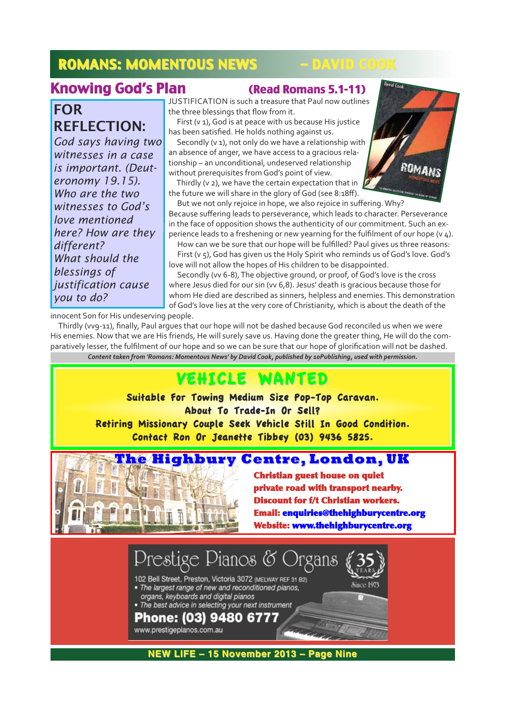### ROMANS: MOMENTOUS NEWS – DAVID COOK

### Knowing God's Plan (Read Romans 5.1-11)

FOR REFLECTION:

*God says having two witnesses in a case is important. (Deuteronomy 19.15). Who are the two witnesses to God's love mentioned here? How are they different? What should the blessings of justification cause you to do?*

JUSTIFICATION is such a treasure that Paul now outlines the three blessings that flow from it.

First (v 1), God is at peace with us because His justice has been satisfied. He holds nothing against us.

Secondly ( $v$  1), not only do we have a relationship with an absence of anger, we have access to a gracious relationship – an unconditional, undeserved relationship without prerequisites from God's point of view.

Thirdly (v 2), we have the certain expectation that in the future we will share in the glory of God (see 8:18ff).

But we not only rejoice in hope, we also rejoice in suffering. Why?

Because suffering leads to perseverance, which leads to character. Perseverance in the face of opposition shows the authenticity of our commitment. Such an ex-

perience leads to a freshening or new yearning for the fulfilment of our hope (v 4). How can we be sure that our hope will be fulfilled? Paul gives us three reasons: First (v 5), God has given us the Holy Spirit who reminds us of God's love. God's love will not allow the hopes of His children to be disappointed.

Secondly (vv 6-8), The objective ground, or proof, of God's love is the cross where Jesus died for our sin (vv 6,8). Jesus' death is gracious because those for whom He died are described as sinners, helpless and enemies. This demonstration of God's love lies at the very core of Christianity, which is about the death of the

innocent Son for His undeserving people.

Thirdly (vv9-11), finally, Paul argues that our hope will not be dashed because God reconciled us when we were His enemies. Now that we are His friends, He will surely save us. Having done the greater thing, He will do the comparatively lesser, the fulfilment of our hope and so we can be sure that our hope of glorification will not be dashed. *Content taken from 'Romans: Momentous News' by David Cook, published by 10Publishing, used with permission.*

### **VEHICLE WANTED**

Suitable For Towing Medium Size Pop-Top Caravan. About To Trade-In Or Sell? Retiring Missionary Couple Seek Vehicle Still In Good Condition. Contact Ron Or Jeanette Tibbey (03) 9436 5825.



### **The Highbury Centre, London, UK The Highbury Centre, London, UK**

**Christian guest house on quiet private road with transport nearby. Discount for f/t Christian workers. Email: enquiries@thehighburycentre.org Website: www.thehighburycentre.org**



**NEW LIFE – 15 November 2013 – Page Nine NEW LIFE – 15 November 2013 – Page Nine**

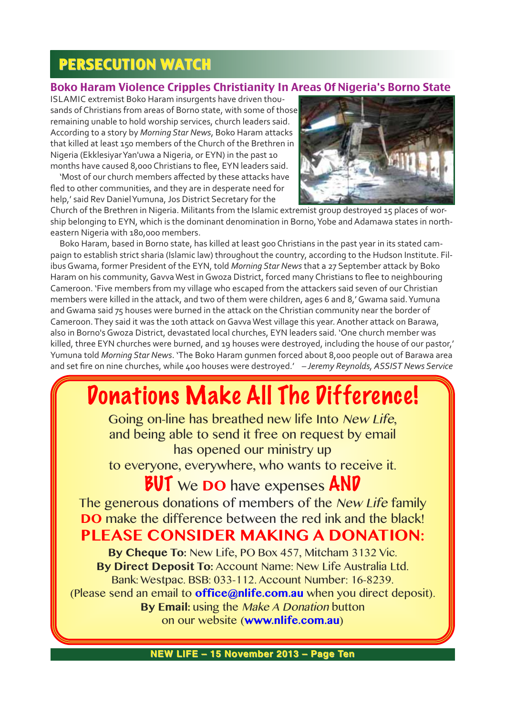### **PERSECUTION WATCH**

### Boko Haram Violence Cripples Christianity In Areas Of Nigeria's Borno State

ISLAMIC extremist Boko Haram insurgents have driven thousands of Christians from areas of Borno state, with some of those remaining unable to hold worship services, church leaders said. According to a story by *Morning Star News*, Boko Haram attacks that killed at least 150 members of the Church of the Brethren in Nigeria (Ekklesiyar Yan'uwa a Nigeria, or EYN) in the past 10 months have caused 8,000 Christians to flee, EYN leaders said.

'Most of our church members affected by these attacks have fled to other communities, and they are in desperate need for help,' said Rev Daniel Yumuna, Jos District Secretary for the



Church of the Brethren in Nigeria. Militants from the Islamic extremist group destroyed 15 places of worship belonging to EYN, which is the dominant denomination in Borno, Yobe and Adamawa states in northeastern Nigeria with 180,000 members.

Boko Haram, based in Borno state, has killed at least 900 Christians in the past year in its stated campaign to establish strict sharia (Islamic law) throughout the country, according to the Hudson Institute. Filibus Gwama, former President of the EYN, told *Morning Star News* that a 27 September attack by Boko Haram on his community, Gavva West in Gwoza District, forced many Christians to flee to neighbouring Cameroon. 'Five members from my village who escaped from the attackers said seven of our Christian members were killed in the attack, and two of them were children, ages 6 and 8,' Gwama said. Yumuna and Gwama said 75 houses were burned in the attack on the Christian community near the border of Cameroon. They said it was the 10th attack on Gavva West village this year. Another attack on Barawa, also in Borno's Gwoza District, devastated local churches, EYN leaders said. 'One church member was killed, three EYN churches were burned, and 19 houses were destroyed, including the house of our pastor,' Yumuna told *Morning Star News*. 'The Boko Haram gunmen forced about 8,000 people out of Barawa area and set fire on nine churches, while 400 houses were destroyed.' *– Jeremy Reynolds, ASSIST News Service*

# Donations Make All The Difference!

Going on-line has breathed new life Into New Life, and being able to send it free on request by email has opened our ministry up to everyone, everywhere, who wants to receive it.

**BUT** We **DO** have expenses AND

The generous donations of members of the New Life family **DO** make the difference between the red ink and the black!

### **PLEASE CONSIDER MAKING A DONATION:**

**By Cheque To:** New Life, PO Box 457, Mitcham 3132 Vic. **By Direct Deposit To:** Account Name: New Life Australia Ltd. Bank: Westpac. BSB: 033-112. Account Number: 16-8239. (Please send an email to **office@nlife.com.au** when you direct deposit). **By Email:** using the Make A Donation button on our website (**www.nlife.com.au**)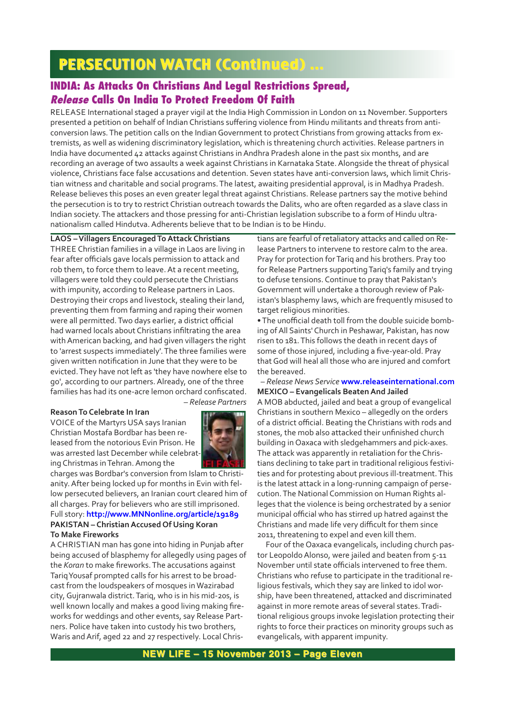### PERSECUTION WATCH (Continued) ...

### **INDIA: As Attacks On Christians And Legal Restrictions Spread, Release Calls On India To Protect Freedom Of Faith**

RELEASE International staged a prayer vigil at the India High Commission in London on 11 November. Supporters presented a petition on behalf of Indian Christians suffering violence from Hindu militants and threats from anticonversion laws. The petition calls on the Indian Government to protect Christians from growing attacks from extremists, as well as widening discriminatory legislation, which is threatening church activities. Release partners in India have documented 42 attacks against Christians in Andhra Pradesh alone in the past six months, and are recording an average of two assaults a week against Christians in Karnataka State. Alongside the threat of physical violence, Christians face false accusations and detention. Seven states have anti-conversion laws, which limit Christian witness and charitable and social programs. The latest, awaiting presidential approval, is in Madhya Pradesh. Release believes this poses an even greater legal threat against Christians. Release partners say the motive behind the persecution is to try to restrict Christian outreach towards the Dalits, who are often regarded as a slave class in Indian society. The attackers and those pressing for anti-Christian legislation subscribe to a form of Hindu ultranationalism called Hindutva. Adherents believe that to be Indian is to be Hindu.

#### **LAOS – Villagers Encouraged To Attack Christians**

THREE Christian families in a village in Laos are living in fear after officials gave locals permission to attack and rob them, to force them to leave. At a recent meeting, villagers were told they could persecute the Christians with impunity, according to Release partners in Laos. Destroying their crops and livestock, stealing their land, preventing them from farming and raping their women were all permitted. Two days earlier, a district official had warned locals about Christians infiltrating the area with American backing, and had given villagers the right to 'arrest suspects immediately'. The three families were given written notification in June that they were to be evicted. They have not left as 'they have nowhere else to go', according to our partners. Already, one of the three families has had its one-acre lemon orchard confiscated. *– Release Partners*

#### **Reason To Celebrate In Iran**

VOICE of the Martyrs USA says Iranian Christian Mostafa Bordbar has been released from the notorious Evin Prison. He was arrested last December while celebrating Christmas in Tehran. Among the



charges was Bordbar's conversion from Islam to Christianity. After being locked up for months in Evin with fellow persecuted believers, an Iranian court cleared him of all charges. Pray for believers who are still imprisoned. Full story: **http://www.MNNonline.org/article/19189 PAKISTAN – Christian Accused Of Using Koran To Make Fireworks**

A CHRISTIAN man has gone into hiding in Punjab after being accused of blasphemy for allegedly using pages of the *Koran* to make fireworks. The accusations against Tariq Yousaf prompted calls for his arrest to be broadcast from the loudspeakers of mosques in Wazirabad city, Gujranwala district. Tariq, who is in his mid-20s, is well known locally and makes a good living making fireworks for weddings and other events, say Release Partners. Police have taken into custody his two brothers, Waris and Arif, aged 22 and 27 respectively. Local Christians are fearful of retaliatory attacks and called on Release Partners to intervene to restore calm to the area. Pray for protection for Tariq and his brothers. Pray too for Release Partners supporting Tariq's family and trying to defuse tensions. Continue to pray that Pakistan's Government will undertake a thorough review of Pakistan's blasphemy laws, which are frequently misused to target religious minorities.

• The unofficial death toll from the double suicide bombing of All Saints' Church in Peshawar, Pakistan, has now risen to 181. This follows the death in recent days of some of those injured, including a five-year-old. Pray that God will heal all those who are injured and comfort the bereaved.

#### *– Release News Service* **www.releaseinternational.com MEXICO – Evangelicals Beaten And Jailed**

A MOB abducted, jailed and beat a group of evangelical Christians in southern Mexico – allegedly on the orders of a district official. Beating the Christians with rods and stones, the mob also attacked their unfinished church building in Oaxaca with sledgehammers and pick-axes. The attack was apparently in retaliation for the Christians declining to take part in traditional religious festivities and for protesting about previous ill-treatment. This is the latest attack in a long-running campaign of persecution. The National Commission on Human Rights alleges that the violence is being orchestrated by a senior municipal official who has stirred up hatred against the Christians and made life very difficult for them since 2011, threatening to expel and even kill them.

Four of the Oaxaca evangelicals, including church pastor Leopoldo Alonso, were jailed and beaten from 5-11 November until state officials intervened to free them. Christians who refuse to participate in the traditional religious festivals, which they say are linked to idol worship, have been threatened, attacked and discriminated against in more remote areas of several states. Traditional religious groups invoke legislation protecting their rights to force their practices on minority groups such as evangelicals, with apparent impunity.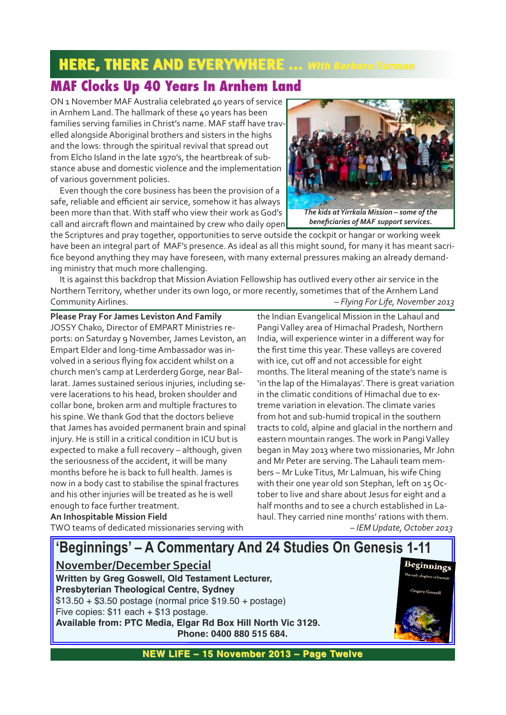HERE, THERE AND EVERYWHERE .... With Barbara Furman

### **MAF Clocks Up 40 Years In Arnhem Land**

ON 1 November MAF Australia celebrated 40 years of service in Arnhem Land. The hallmark of these 40 years has been families serving families in Christ's name. MAF staff have travelled alongside Aboriginal brothers and sisters in the highs and the lows: through the spiritual revival that spread out from Elcho Island in the late 1970's, the heartbreak of substance abuse and domestic violence and the implementation of various government policies.

Even though the core business has been the provision of a safe, reliable and efficient air service, somehow it has always been more than that. With staff who view their work as God's call and aircraft flown and maintained by crew who daily open



*The kids at Yirrkala Mission – some of the beneficiaries of MAF support services.*

the Scriptures and pray together, opportunities to serve outside the cockpit or hangar or working week have been an integral part of MAF's presence. As ideal as all this might sound, for many it has meant sacrifice beyond anything they may have foreseen, with many external pressures making an already demanding ministry that much more challenging.

It is against this backdrop that Mission Aviation Fellowship has outlived every other air service in the Northern Territory, whether under its own logo, or more recently, sometimes that of the Arnhem Land Community Airlines. *– Flying For Life, November 2013*

**Please Pray For James Leviston And Family** JOSSY Chako, Director of EMPART Ministries reports: on Saturday 9 November, James Leviston, an Empart Elder and long-time Ambassador was involved in a serious flying fox accident whilst on a church men's camp at Lerderderg Gorge, near Ballarat. James sustained serious injuries, including severe lacerations to his head, broken shoulder and collar bone, broken arm and multiple fractures to his spine. We thank God that the doctors believe that James has avoided permanent brain and spinal injury. He is still in a critical condition in ICU but is expected to make a full recovery – although, given the seriousness of the accident, it will be many months before he is back to full health. James is now in a body cast to stabilise the spinal fractures and his other injuries will be treated as he is well enough to face further treatment. **An Inhospitable Mission Field**

#### Pangi Valley area of Himachal Pradesh, Northern India, will experience winter in a different way for the first time this year. These valleys are covered with ice, cut off and not accessible for eight months. The literal meaning of the state's name is 'in the lap of the Himalayas'. There is great variation in the climatic conditions of Himachal due to extreme variation in elevation. The climate varies from hot and sub-humid tropical in the southern tracts to cold, alpine and glacial in the northern and eastern mountain ranges. The work in Pangi Valley began in May 2013 where two missionaries, Mr John and Mr Peter are serving. The Lahauli team members – Mr Luke Titus, Mr Lalmuan, his wife Ching with their one year old son Stephan, left on 15 October to live and share about Jesus for eight and a half months and to see a church established in Lahaul. They carried nine months' rations with them.

the Indian Evangelical Mission in the Lahaul and

TWO teams of dedicated missionaries serving with

*– IEM Update, October 2013*

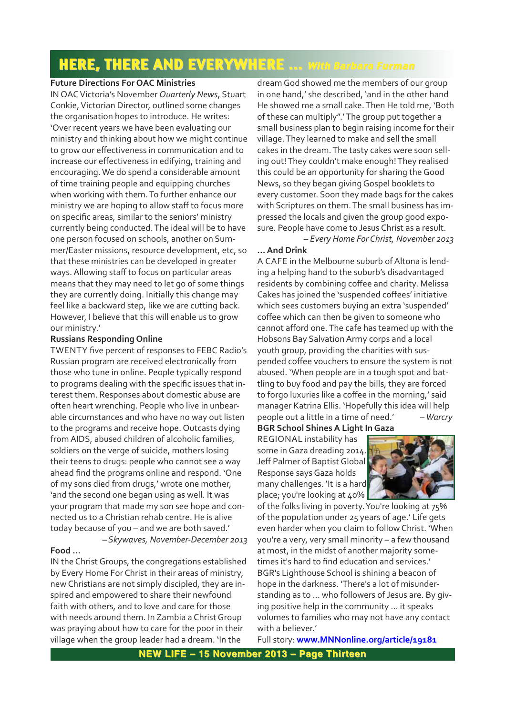### **HERE, THERE AND EVERYWHERE** .... With Barbara Furman

#### **Future Directions For OAC Ministries**

IN OAC Victoria's November *Quarterly News*, Stuart Conkie, Victorian Director, outlined some changes the organisation hopes to introduce. He writes: 'Over recent years we have been evaluating our ministry and thinking about how we might continue to grow our effectiveness in communication and to increase our effectiveness in edifying, training and encouraging. We do spend a considerable amount of time training people and equipping churches when working with them. To further enhance our ministry we are hoping to allow staff to focus more on specific areas, similar to the seniors' ministry currently being conducted. The ideal will be to have one person focused on schools, another on Summer/Easter missions, resource development, etc, so that these ministries can be developed in greater ways. Allowing staff to focus on particular areas means that they may need to let go of some things they are currently doing. Initially this change may feel like a backward step, like we are cutting back. However, I believe that this will enable us to grow our ministry.'

#### **Russians Responding Online**

TWENTY five percent of responses to FEBC Radio's Russian program are received electronically from those who tune in online. People typically respond to programs dealing with the specific issues that interest them. Responses about domestic abuse are often heart wrenching. People who live in unbearable circumstances and who have no way out listen to the programs and receive hope. Outcasts dying from AIDS, abused children of alcoholic families, soldiers on the verge of suicide, mothers losing their teens to drugs: people who cannot see a way ahead find the programs online and respond. 'One of my sons died from drugs,' wrote one mother, 'and the second one began using as well. It was your program that made my son see hope and connected us to a Christian rehab centre. He is alive today because of you – and we are both saved.' *– Skywaves, NovemberDecember 2013*

#### **Food ...**

IN the Christ Groups, the congregations established by Every Home For Christ in their areas of ministry, new Christians are not simply discipled, they are inspired and empowered to share their newfound faith with others, and to love and care for those with needs around them. In Zambia a Christ Group was praying about how to care for the poor in their village when the group leader had a dream. 'In the

dream God showed me the members of our group in one hand,' she described, 'and in the other hand He showed me a small cake. Then He told me, 'Both of these can multiply".' The group put together a small business plan to begin raising income for their village. They learned to make and sell the small cakes in the dream. The tasty cakes were soon selling out! They couldn't make enough! They realised this could be an opportunity for sharing the Good News, so they began giving Gospel booklets to every customer. Soon they made bags for the cakes with Scriptures on them. The small business has impressed the locals and given the group good exposure. People have come to Jesus Christ as a result.

*– Every Home For Christ, November 2013* **... And Drink**

A CAFE in the Melbourne suburb of Altona is lend-

ing a helping hand to the suburb's disadvantaged residents by combining coffee and charity. Melissa Cakes has joined the 'suspended coffees' initiative which sees customers buying an extra 'suspended' coffee which can then be given to someone who cannot afford one. The cafe has teamed up with the Hobsons Bay Salvation Army corps and a local youth group, providing the charities with suspended coffee vouchers to ensure the system is not abused. 'When people are in a tough spot and battling to buy food and pay the bills, they are forced to forgo luxuries like a coffee in the morning,' said manager Katrina Ellis. 'Hopefully this idea will help people out a little in a time of need.' *– Warcry*

**BGR School Shines A Light In Gaza**

REGIONAL instability has some in Gaza dreading 2014. Jeff Palmer of Baptist Global Response says Gaza holds many challenges. 'It is a hard place; you're looking at 40%



of the folks living in poverty. You're looking at 75% of the population under 25 years of age.' Life gets even harder when you claim to follow Christ. 'When you're a very, very small minority – a few thousand at most, in the midst of another majority sometimes it's hard to find education and services.' BGR's Lighthouse School is shining a beacon of hope in the darkness. 'There's a lot of misunderstanding as to ... who followers of Jesus are. By giving positive help in the community ... it speaks volumes to families who may not have any contact with a believer.'

Full story: **www.MNNonline.org/article/19181**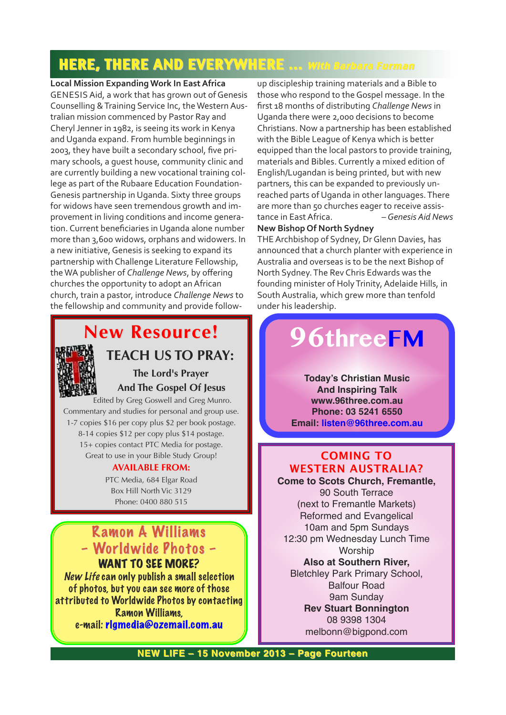### HERE, THERE AND EVERYWHERE .... With Barbara Furman

#### **Local Mission Expanding Work In East Africa**

GENESIS Aid, a work that has grown out of Genesis Counselling & Training Service Inc, the Western Australian mission commenced by Pastor Ray and Cheryl Jenner in 1982, is seeing its work in Kenya and Uganda expand. From humble beginnings in 2003, they have built a secondary school, five primary schools, a guest house, community clinic and are currently building a new vocational training college as part of the Rubaare Education Foundation-Genesis partnership in Uganda. Sixty three groups for widows have seen tremendous growth and improvement in living conditions and income generation. Current beneficiaries in Uganda alone number more than 3,600 widows, orphans and widowers. In a new initiative, Genesis is seeking to expand its partnership with Challenge Literature Fellowship, the WA publisher of *Challenge News*, by offering churches the opportunity to adopt an African church, train a pastor, introduce *Challenge News* to the fellowship and community and provide follow-

### **New Resource! New Resource!**

### **TEACH US TO PRAY:**

### **The Lord's Prayer And The Gospel Of Jesus**

Edited by Greg Goswell and Greg Munro. Commentary and studies for personal and group use. 1-7 copies \$16 per copy plus \$2 per book postage. 8-14 copies \$12 per copy plus \$14 postage. 15+ copies contact PTC Media for postage. Great to use in your Bible Study Group!

#### **AVAILABLE FROM:**

PTC Media, 684 Elgar Road Box Hill North Vic 3129 Phone: 0400 880 515

### Ramon A Williams – Worldwide Photos – – Worldwide Photos – WANT TO SEE MORE?

New Life can only publish a small selection of photos, but you can see more of those attributed to Worldwide Photos by contacting Ramon Williams, e-mail: rlgmedia@ozemail.com.au

up discipleship training materials and a Bible to those who respond to the Gospel message. In the first 18 months of distributing *Challenge News* in Uganda there were 2,000 decisions to become Christians. Now a partnership has been established with the Bible League of Kenya which is better equipped than the local pastors to provide training, materials and Bibles. Currently a mixed edition of English/Lugandan is being printed, but with new partners, this can be expanded to previously unreached parts of Uganda in other languages. There are more than 50 churches eager to receive assistance in East Africa. *– Genesis Aid News*

### **New Bishop Of North Sydney**

THE Archbishop of Sydney, Dr Glenn Davies, has announced that a church planter with experience in Australia and overseas is to be the next Bishop of North Sydney. The Rev Chris Edwards was the founding minister of Holy Trinity, Adelaide Hills, in South Australia, which grew more than tenfold under his leadership.

## **96threeFM**

**Today's Christian Music And Inspiring Talk www.96three.com.au Phone: 03 5241 6550 Email: listen@96three.com.au**

### **COMING TO WESTERN AUSTRALIA? WESTERN**

**Come to Scots Church, Fremantle,** 90 South Terrace (next to Fremantle Markets) Reformed and Evangelical 10am and 5pm Sundays 12:30 pm Wednesday Lunch Time **Worship Also at Southern River,** Bletchley Park Primary School, Balfour Road 9am Sunday **Rev Stuart Bonnington** 08 9398 1304 melbonn@bigpond.com

**NEW LIFE – 15 November 2013 – Page Fourteen**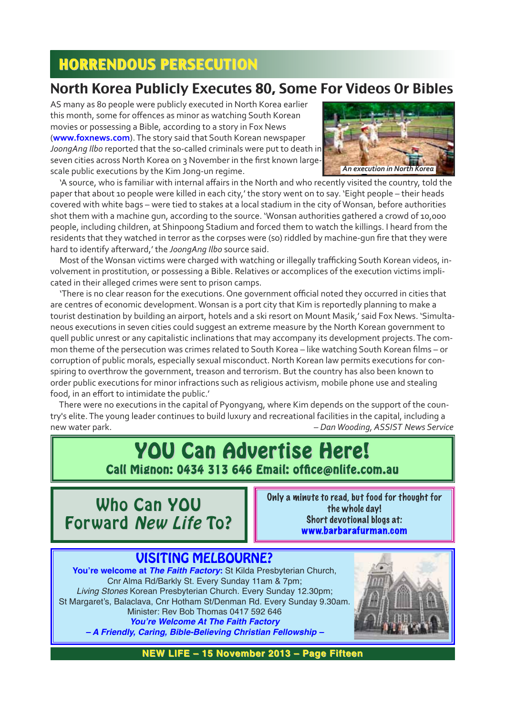### HORRENDOUS PERSECUTION HORRENDOUS PERSECUTION

### North Korea Publicly Executes 80, Some For Videos Or Bibles

AS many as 80 people were publicly executed in North Korea earlier this month, some for offences as minor as watching South Korean movies or possessing a Bible, according to a story in Fox News (**www.foxnews.com**). The story said that South Korean newspaper JoongAng Ilbo reported that the so-called criminals were put to death in seven cities across North Korea on 3 November in the first known largescale public executions by the Kim Jong-un regime.



'A source, who is familiar with internal affairs in the North and who recently visited the country, told the paper that about 10 people were killed in each city,' the story went on to say. 'Eight people – their heads covered with white bags – were tied to stakes at a local stadium in the city of Wonsan, before authorities shot them with a machine gun, according to the source. 'Wonsan authorities gathered a crowd of 10,000 people, including children, at Shinpoong Stadium and forced them to watch the killings. I heard from the residents that they watched in terror as the corpses were (so) riddled by machine-qun fire that they were hard to identify afterward,' the *JoongAng Ilbo* source said.

Most of the Wonsan victims were charged with watching or illegally trafficking South Korean videos, involvement in prostitution, or possessing a Bible. Relatives or accomplices of the execution victims implicated in their alleged crimes were sent to prison camps.

'There is no clear reason for the executions. One government official noted they occurred in cities that are centres of economic development. Wonsan is a port city that Kim is reportedly planning to make a tourist destination by building an airport, hotels and a ski resort on Mount Masik,' said Fox News. 'Simultaneous executions in seven cities could suggest an extreme measure by the North Korean government to quell public unrest or any capitalistic inclinations that may accompany its development projects. The common theme of the persecution was crimes related to South Korea – like watching South Korean films – or corruption of public morals, especially sexual misconduct. North Korean law permits executions for conspiring to overthrow the government, treason and terrorism. But the country has also been known to order public executions for minor infractions such as religious activism, mobile phone use and stealing food, in an effort to intimidate the public.'

There were no executions in the capital of Pyongyang, where Kim depends on the support of the country's elite. The young leader continues to build luxury and recreational facilities in the capital, including a new water park. *– Dan Wooding, ASSIST News Service*

### **YOU Can Advertise Here!** Call Mignon: 0434 313 646 Email: office@nlife.com.au

Who Can YOU Forward New Life To? Only a minute to read, but food for thought for the whole day! Short devotional blogs at: www.barbarafurman.com





**NEW LIFE – 15 November 2013 – Page Fifteen**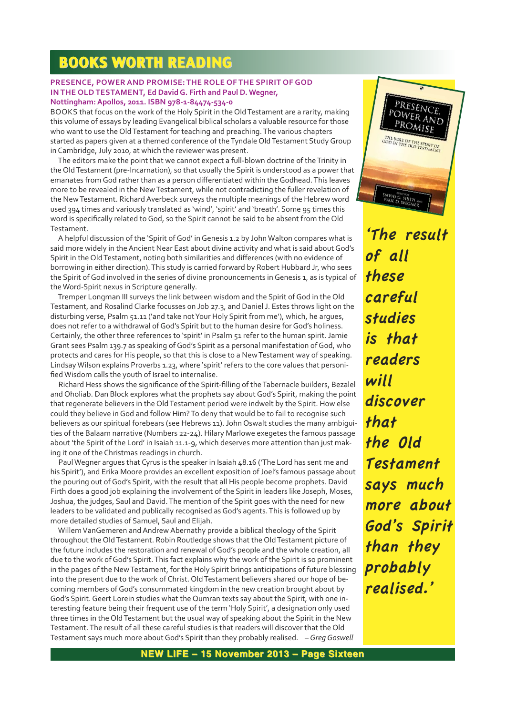### **BOOKS WORTH READING**

### **PRESENCE, POWER AND PROMISE: THE ROLE OF THE SPIRIT OF GOD IN THE OLD TESTAMENT, Ed David G. Firth and Paul D. Wegner,**

Nottingham: Apollos, 2011. ISBN 978-1-84474-534-0

BOOKS that focus on the work of the Holy Spirit in the Old Testament are a rarity, making this volume of essays by leading Evangelical biblical scholars a valuable resource for those who want to use the Old Testament for teaching and preaching. The various chapters started as papers given at a themed conference of the Tyndale Old Testament Study Group in Cambridge, July 2010, at which the reviewer was present.

The editors make the point that we cannot expect a full-blown doctrine of the Trinity in the Old Testament (pre-Incarnation), so that usually the Spirit is understood as a power that emanates from God rather than as a person differentiated within the Godhead. This leaves more to be revealed in the New Testament, while not contradicting the fuller revelation of the New Testament. Richard Averbeck surveys the multiple meanings of the Hebrew word used 394 times and variously translated as 'wind', 'spirit' and 'breath'. Some 95 times this word is specifically related to God, so the Spirit cannot be said to be absent from the Old Testament.

A helpful discussion of the 'Spirit of God' in Genesis 1.2 by John Walton compares what is said more widely in the Ancient Near East about divine activity and what is said about God's Spirit in the Old Testament, noting both similarities and differences (with no evidence of borrowing in either direction). This study is carried forward by Robert Hubbard Jr, who sees the Spirit of God involved in the series of divine pronouncements in Genesis 1, as is typical of the Word-Spirit nexus in Scripture generally.

Tremper Longman III surveys the link between wisdom and the Spirit of God in the Old Testament, and Rosalind Clarke focusses on Job 27.3, and Daniel J. Estes throws light on the disturbing verse, Psalm 51.11 ('and take not Your Holy Spirit from me'), which, he argues, does not refer to a withdrawal of God's Spirit but to the human desire for God's holiness. Certainly, the other three references to 'spirit' in Psalm 51 refer to the human spirit. Jamie Grant sees Psalm 139.7 as speaking of God's Spirit as a personal manifestation of God, who protects and cares for His people, so that this is close to a New Testament way of speaking. Lindsay Wilson explains Proverbs 1.23, where 'spirit' refers to the core values that personified Wisdom calls the youth of Israel to internalise.

Richard Hess shows the significance of the Spirit-filling of the Tabernacle builders, Bezalel and Oholiab. Dan Block explores what the prophets say about God's Spirit, making the point that regenerate believers in the Old Testament period were indwelt by the Spirit. How else could they believe in God and follow Him? To deny that would be to fail to recognise such believers as our spiritual forebears (see Hebrews 11). John Oswalt studies the many ambiguities of the Balaam narrative (Numbers 22-24). Hilary Marlowe exegetes the famous passage about 'the Spirit of the Lord' in Isaiah 11.1-9, which deserves more attention than just making it one of the Christmas readings in church.

Paul Wegner argues that Cyrus is the speaker in Isaiah 48.16 ('The Lord has sent me and his Spirit'), and Erika Moore provides an excellent exposition of Joel's famous passage about the pouring out of God's Spirit, with the result that all His people become prophets. David Firth does a good job explaining the involvement of the Spirit in leaders like Joseph, Moses, Joshua, the judges, Saul and David. The mention of the Spirit goes with the need for new leaders to be validated and publically recognised as God's agents. This is followed up by more detailed studies of Samuel, Saul and Elijah.

Willem VanGemeren and Andrew Abernathy provide a biblical theology of the Spirit throughout the Old Testament. Robin Routledge shows that the Old Testament picture of the future includes the restoration and renewal of God's people and the whole creation, all due to the work of God's Spirit. This fact explains why the work of the Spirit is so prominent in the pages of the New Testament, for the Holy Spirit brings anticipations of future blessing into the present due to the work of Christ. Old Testament believers shared our hope of becoming members of God's consummated kingdom in the new creation brought about by God's Spirit. Geert Lorein studies what the Qumran texts say about the Spirit, with one interesting feature being their frequent use of the term 'Holy Spirit', a designation only used three times in the Old Testament but the usual way of speaking about the Spirit in the New Testament. The result of all these careful studies is that readers will discover that the Old Testament says much more about God's Spirit than they probably realised. *– Greg Goswell*



'The result of all these careful studies is that readers will discover that the Old Testament says much more about God's Spirit than they probably realised.'